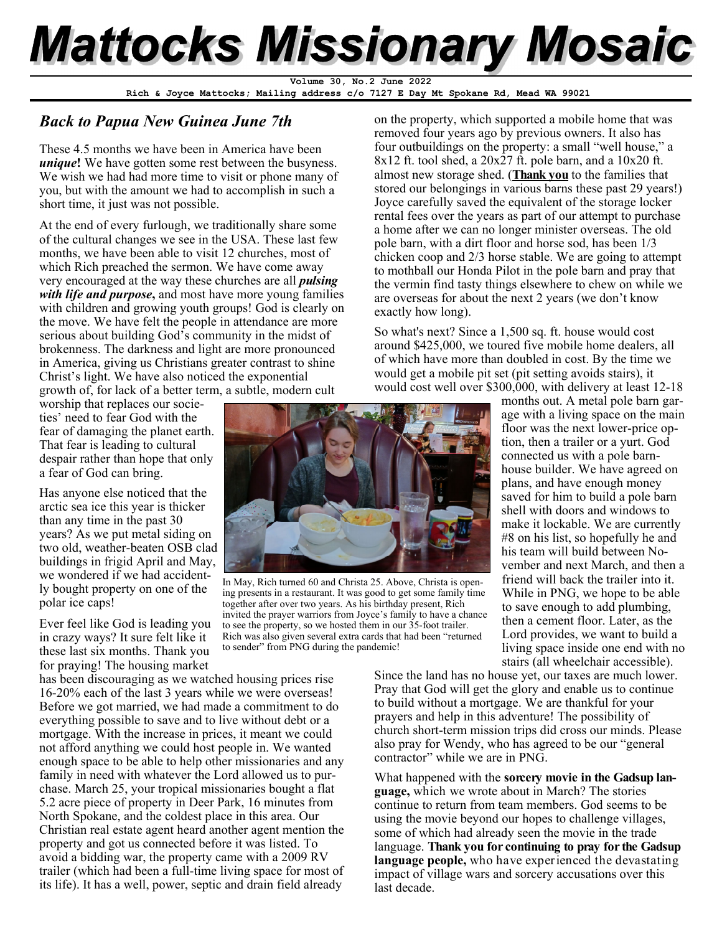# **Mattocks Missionary Mosaic**

**Rich & Joyce Mattocks; Mailing address c/o 7127 E Day Mt Spokane Rd, Mead WA 99021 Volume 30, No.2 June 2022** 

# *Back to Papua New Guinea June 7th*

These 4.5 months we have been in America have been *unique***!** We have gotten some rest between the busyness. We wish we had had more time to visit or phone many of you, but with the amount we had to accomplish in such a short time, it just was not possible.

At the end of every furlough, we traditionally share some of the cultural changes we see in the USA. These last few months, we have been able to visit 12 churches, most of which Rich preached the sermon. We have come away very encouraged at the way these churches are all *pulsing with life and purpose***,** and most have more young families with children and growing youth groups! God is clearly on the move. We have felt the people in attendance are more serious about building God's community in the midst of brokenness. The darkness and light are more pronounced in America, giving us Christians greater contrast to shine Christ's light. We have also noticed the exponential growth of, for lack of a better term, a subtle, modern cult

worship that replaces our societies' need to fear God with the fear of damaging the planet earth. That fear is leading to cultural despair rather than hope that only a fear of God can bring.

Has anyone else noticed that the arctic sea ice this year is thicker than any time in the past 30 years? As we put metal siding on two old, weather-beaten OSB clad buildings in frigid April and May, we wondered if we had accidently bought property on one of the polar ice caps!

Ever feel like God is leading you in crazy ways? It sure felt like it these last six months. Thank you for praying! The housing market

In May, Rich turned 60 and Christa 25. Above, Christa is opening presents in a restaurant. It was good to get some family time together after over two years. As his birthday present, Rich invited the prayer warriors from Joyce's family to have a chance to see the property, so we hosted them in our 35-foot trailer. Rich was also given several extra cards that had been "returned to sender" from PNG during the pandemic!

has been discouraging as we watched housing prices rise 16-20% each of the last 3 years while we were overseas! Before we got married, we had made a commitment to do everything possible to save and to live without debt or a mortgage. With the increase in prices, it meant we could not afford anything we could host people in. We wanted enough space to be able to help other missionaries and any family in need with whatever the Lord allowed us to purchase. March 25, your tropical missionaries bought a flat 5.2 acre piece of property in Deer Park, 16 minutes from North Spokane, and the coldest place in this area. Our Christian real estate agent heard another agent mention the property and got us connected before it was listed. To avoid a bidding war, the property came with a 2009 RV trailer (which had been a full-time living space for most of its life). It has a well, power, septic and drain field already

on the property, which supported a mobile home that was removed four years ago by previous owners. It also has four outbuildings on the property: a small "well house," a 8x12 ft. tool shed, a 20x27 ft. pole barn, and a 10x20 ft. almost new storage shed. (**Thank you** to the families that stored our belongings in various barns these past 29 years!) Joyce carefully saved the equivalent of the storage locker rental fees over the years as part of our attempt to purchase a home after we can no longer minister overseas. The old pole barn, with a dirt floor and horse sod, has been 1/3 chicken coop and 2/3 horse stable. We are going to attempt to mothball our Honda Pilot in the pole barn and pray that the vermin find tasty things elsewhere to chew on while we are overseas for about the next 2 years (we don't know exactly how long).

So what's next? Since a 1,500 sq. ft. house would cost around \$425,000, we toured five mobile home dealers, all of which have more than doubled in cost. By the time we would get a mobile pit set (pit setting avoids stairs), it would cost well over \$300,000, with delivery at least 12-18

> months out. A metal pole barn garage with a living space on the main floor was the next lower-price option, then a trailer or a yurt. God connected us with a pole barnhouse builder. We have agreed on plans, and have enough money saved for him to build a pole barn shell with doors and windows to make it lockable. We are currently #8 on his list, so hopefully he and his team will build between November and next March, and then a friend will back the trailer into it. While in PNG, we hope to be able to save enough to add plumbing, then a cement floor. Later, as the Lord provides, we want to build a living space inside one end with no stairs (all wheelchair accessible).

Since the land has no house yet, our taxes are much lower. Pray that God will get the glory and enable us to continue to build without a mortgage. We are thankful for your prayers and help in this adventure! The possibility of church short-term mission trips did cross our minds. Please also pray for Wendy, who has agreed to be our "general contractor" while we are in PNG.

What happened with the **sorcery movie in the Gadsup language,** which we wrote about in March? The stories continue to return from team members. God seems to be using the movie beyond our hopes to challenge villages, some of which had already seen the movie in the trade language. **Thank you for continuing to pray for the Gadsup language people,** who have experienced the devastating impact of village wars and sorcery accusations over this last decade.